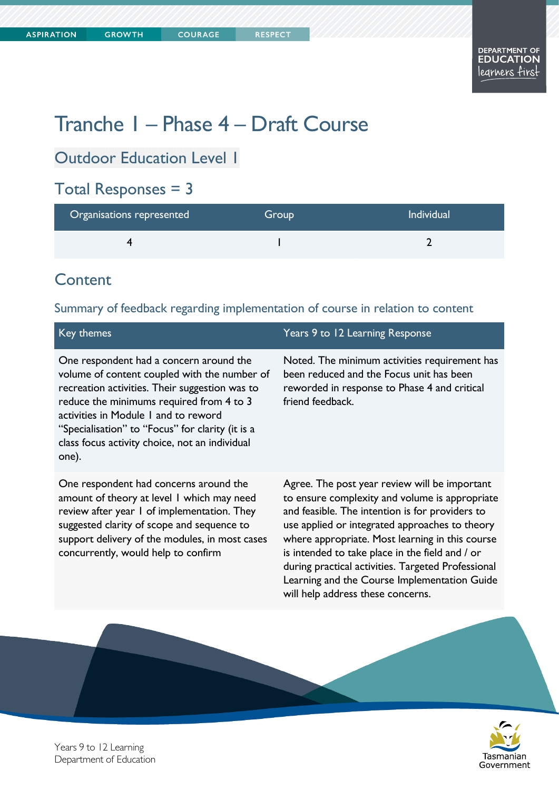# Tranche 1 – Phase 4 – Draft Course

## Outdoor Education Level 1

## Total Responses = 3

| Organisations represented | Group | <b>Individual</b> |
|---------------------------|-------|-------------------|
|                           |       |                   |

#### **Content**

#### Summary of feedback regarding implementation of course in relation to content

| Key themes                                                                                                                                                                                                                                                                                                                                   | Years 9 to 12 Learning Response                                                                                                                                                                                                                                                                                                                                                                                                                       |
|----------------------------------------------------------------------------------------------------------------------------------------------------------------------------------------------------------------------------------------------------------------------------------------------------------------------------------------------|-------------------------------------------------------------------------------------------------------------------------------------------------------------------------------------------------------------------------------------------------------------------------------------------------------------------------------------------------------------------------------------------------------------------------------------------------------|
| One respondent had a concern around the<br>volume of content coupled with the number of<br>recreation activities. Their suggestion was to<br>reduce the minimums required from 4 to 3<br>activities in Module 1 and to reword<br>"Specialisation" to "Focus" for clarity (it is a<br>class focus activity choice, not an individual<br>one). | Noted. The minimum activities requirement has<br>been reduced and the Focus unit has been<br>reworded in response to Phase 4 and critical<br>friend feedback.                                                                                                                                                                                                                                                                                         |
| One respondent had concerns around the<br>amount of theory at level I which may need<br>review after year I of implementation. They<br>suggested clarity of scope and sequence to<br>support delivery of the modules, in most cases<br>concurrently, would help to confirm                                                                   | Agree. The post year review will be important<br>to ensure complexity and volume is appropriate<br>and feasible. The intention is for providers to<br>use applied or integrated approaches to theory<br>where appropriate. Most learning in this course<br>is intended to take place in the field and / or<br>during practical activities. Targeted Professional<br>Learning and the Course Implementation Guide<br>will help address these concerns. |
|                                                                                                                                                                                                                                                                                                                                              |                                                                                                                                                                                                                                                                                                                                                                                                                                                       |



Years 9 to 12 Learning Department of Education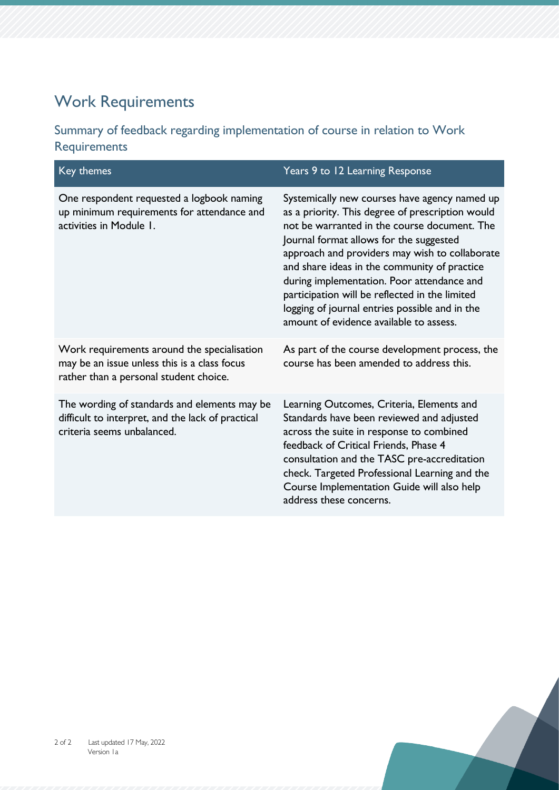# Work Requirements

#### Summary of feedback regarding implementation of course in relation to Work Requirements

| Key themes                                                                                                                            | Years 9 to 12 Learning Response                                                                                                                                                                                                                                                                                                                                                                                                                                                             |
|---------------------------------------------------------------------------------------------------------------------------------------|---------------------------------------------------------------------------------------------------------------------------------------------------------------------------------------------------------------------------------------------------------------------------------------------------------------------------------------------------------------------------------------------------------------------------------------------------------------------------------------------|
| One respondent requested a logbook naming<br>up minimum requirements for attendance and<br>activities in Module 1.                    | Systemically new courses have agency named up<br>as a priority. This degree of prescription would<br>not be warranted in the course document. The<br>Journal format allows for the suggested<br>approach and providers may wish to collaborate<br>and share ideas in the community of practice<br>during implementation. Poor attendance and<br>participation will be reflected in the limited<br>logging of journal entries possible and in the<br>amount of evidence available to assess. |
| Work requirements around the specialisation<br>may be an issue unless this is a class focus<br>rather than a personal student choice. | As part of the course development process, the<br>course has been amended to address this.                                                                                                                                                                                                                                                                                                                                                                                                  |
| The wording of standards and elements may be<br>difficult to interpret, and the lack of practical<br>criteria seems unbalanced.       | Learning Outcomes, Criteria, Elements and<br>Standards have been reviewed and adjusted<br>across the suite in response to combined<br>feedback of Critical Friends, Phase 4<br>consultation and the TASC pre-accreditation<br>check. Targeted Professional Learning and the<br>Course Implementation Guide will also help<br>address these concerns.                                                                                                                                        |